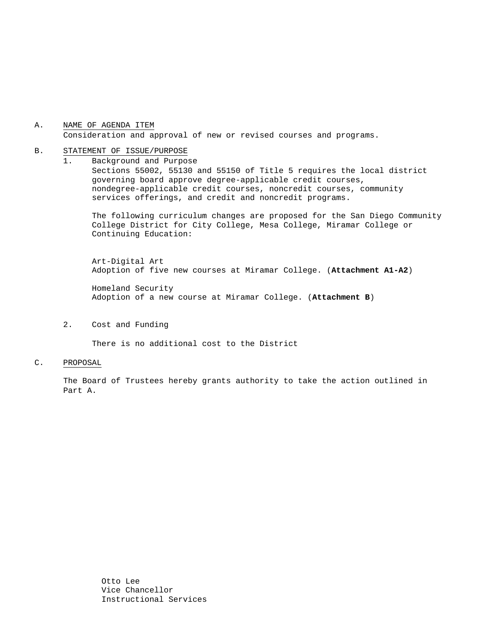## A. NAME OF AGENDA ITEM Consideration and approval of new or revised courses and programs.

#### B. STATEMENT OF ISSUE/PURPOSE

1. Background and Purpose Sections 55002, 55130 and 55150 of Title 5 requires the local district governing board approve degree-applicable credit courses, nondegree-applicable credit courses, noncredit courses, community services offerings, and credit and noncredit programs.

The following curriculum changes are proposed for the San Diego Community College District for City College, Mesa College, Miramar College or Continuing Education:

 Art-Digital Art Adoption of five new courses at Miramar College. (**Attachment A1-A2**)

 Homeland Security Adoption of a new course at Miramar College. (**Attachment B**)

2. Cost and Funding

There is no additional cost to the District

#### C. PROPOSAL

The Board of Trustees hereby grants authority to take the action outlined in Part A.

> Otto Lee Vice Chancellor Instructional Services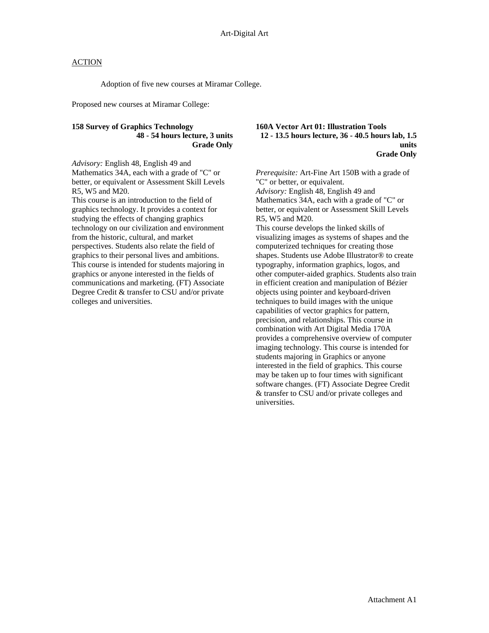## **ACTION**

Adoption of five new courses at Miramar College.

Proposed new courses at Miramar College:

## **158 Survey of Graphics Technology 48 - 54 hours lecture, 3 units Grade Only**

*Advisory:* English 48, English 49 and Mathematics 34A, each with a grade of "C" or better, or equivalent or Assessment Skill Levels R5, W5 and M20.

This course is an introduction to the field of graphics technology. It provides a context for studying the effects of changing graphics technology on our civilization and environment from the historic, cultural, and market perspectives. Students also relate the field of graphics to their personal lives and ambitions. This course is intended for students majoring in graphics or anyone interested in the fields of communications and marketing. (FT) Associate Degree Credit & transfer to CSU and/or private colleges and universities.

### **160A Vector Art 01: Illustration Tools 12 - 13.5 hours lecture, 36 - 40.5 hours lab, 1.5 units Grade Only**

*Prerequisite:* Art-Fine Art 150B with a grade of "C" or better, or equivalent. *Advisory:* English 48, English 49 and Mathematics 34A, each with a grade of "C" or better, or equivalent or Assessment Skill Levels R5, W5 and M20. This course develops the linked skills of

visualizing images as systems of shapes and the computerized techniques for creating those shapes. Students use Adobe Illustrator® to create typography, information graphics, logos, and other computer-aided graphics. Students also train in efficient creation and manipulation of Bézier objects using pointer and keyboard-driven techniques to build images with the unique capabilities of vector graphics for pattern, precision, and relationships. This course in combination with Art Digital Media 170A provides a comprehensive overview of computer imaging technology. This course is intended for students majoring in Graphics or anyone interested in the field of graphics. This course may be taken up to four times with significant software changes. (FT) Associate Degree Credit & transfer to CSU and/or private colleges and universities.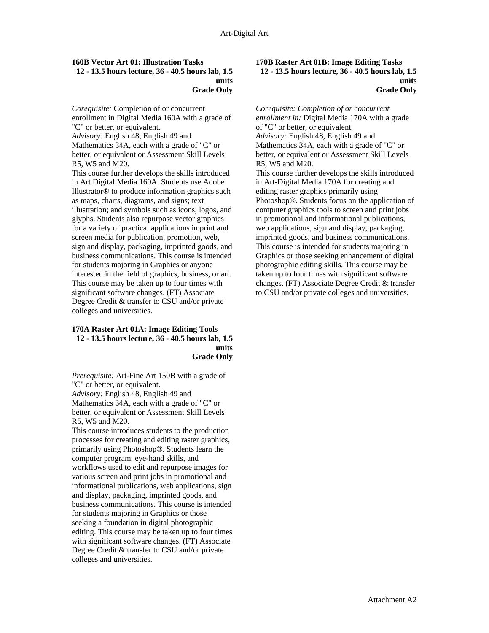## **160B Vector Art 01: Illustration Tasks**

### **12 - 13.5 hours lecture, 36 - 40.5 hours lab, 1.5 units Grade Only**

*Corequisite:* Completion of or concurrent enrollment in Digital Media 160A with a grade of "C" or better, or equivalent. *Advisory:* English 48, English 49 and Mathematics 34A, each with a grade of "C" or better, or equivalent or Assessment Skill Levels R5, W5 and M20. This course further develops the skills introduced

in Art Digital Media 160A. Students use Adobe Illustrator® to produce information graphics such as maps, charts, diagrams, and signs; text illustration; and symbols such as icons, logos, and glyphs. Students also repurpose vector graphics for a variety of practical applications in print and screen media for publication, promotion, web, sign and display, packaging, imprinted goods, and business communications. This course is intended for students majoring in Graphics or anyone interested in the field of graphics, business, or art. This course may be taken up to four times with significant software changes. (FT) Associate Degree Credit & transfer to CSU and/or private colleges and universities.

### **170A Raster Art 01A: Image Editing Tools 12 - 13.5 hours lecture, 36 - 40.5 hours lab, 1.5 units Grade Only**

*Prerequisite:* Art-Fine Art 150B with a grade of "C" or better, or equivalent.

*Advisory:* English 48, English 49 and Mathematics 34A, each with a grade of "C" or better, or equivalent or Assessment Skill Levels R5, W5 and M20.

This course introduces students to the production processes for creating and editing raster graphics, primarily using Photoshop®. Students learn the computer program, eye-hand skills, and workflows used to edit and repurpose images for various screen and print jobs in promotional and informational publications, web applications, sign and display, packaging, imprinted goods, and business communications. This course is intended for students majoring in Graphics or those seeking a foundation in digital photographic editing. This course may be taken up to four times with significant software changes. (FT) Associate Degree Credit & transfer to CSU and/or private colleges and universities.

### **170B Raster Art 01B: Image Editing Tasks 12 - 13.5 hours lecture, 36 - 40.5 hours lab, 1.5 units Grade Only**

*Corequisite: Completion of or concurrent enrollment in:* Digital Media 170A with a grade of "C" or better, or equivalent.

*Advisory:* English 48, English 49 and Mathematics 34A, each with a grade of "C" or better, or equivalent or Assessment Skill Levels R5, W5 and M20.

This course further develops the skills introduced in Art-Digital Media 170A for creating and editing raster graphics primarily using Photoshop®. Students focus on the application of computer graphics tools to screen and print jobs in promotional and informational publications, web applications, sign and display, packaging, imprinted goods, and business communications. This course is intended for students majoring in Graphics or those seeking enhancement of digital photographic editing skills. This course may be taken up to four times with significant software changes. (FT) Associate Degree Credit & transfer to CSU and/or private colleges and universities.